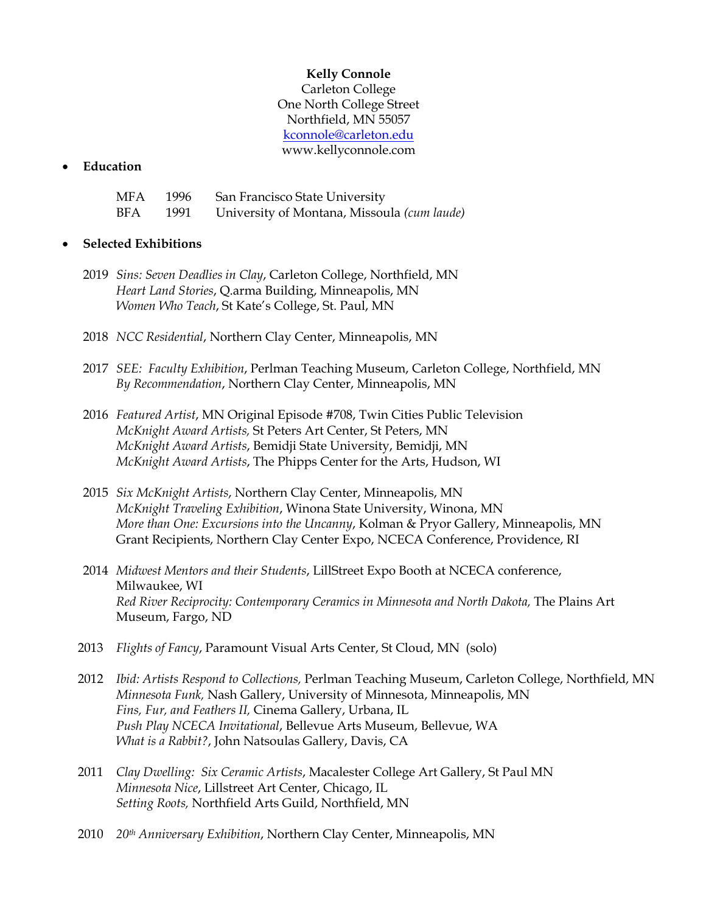## **Kelly Connole**

Carleton College One North College Street Northfield, MN 55057 kconnole@carleton.edu www.kellyconnole.com

#### • **Education**

| MFA |      | 1996 San Francisco State University         |
|-----|------|---------------------------------------------|
| BFA | 1991 | University of Montana, Missoula (cum laude) |

### • **Selected Exhibitions**

- 2019 *Sins: Seven Deadlies in Clay*, Carleton College, Northfield, MN *Heart Land Stories*, Q.arma Building, Minneapolis, MN *Women Who Teach*, St Kate's College, St. Paul, MN
- 2018 *NCC Residential*, Northern Clay Center, Minneapolis, MN
- 2017 *SEE: Faculty Exhibition*, Perlman Teaching Museum, Carleton College, Northfield, MN *By Recommendation*, Northern Clay Center, Minneapolis, MN
- 2016 *Featured Artist*, MN Original Episode #708, Twin Cities Public Television *McKnight Award Artists,* St Peters Art Center, St Peters, MN *McKnight Award Artists*, Bemidji State University, Bemidji, MN *McKnight Award Artists*, The Phipps Center for the Arts, Hudson, WI
- 2015 *Six McKnight Artists*, Northern Clay Center, Minneapolis, MN *McKnight Traveling Exhibition*, Winona State University, Winona, MN *More than One: Excursions into the Uncanny*, Kolman & Pryor Gallery, Minneapolis, MN Grant Recipients, Northern Clay Center Expo, NCECA Conference, Providence, RI
- 2014 *Midwest Mentors and their Students*, LillStreet Expo Booth at NCECA conference, Milwaukee, WI *Red River Reciprocity: Contemporary Ceramics in Minnesota and North Dakota, The Plains Art* Museum, Fargo, ND
- 2013 *Flights of Fancy*, Paramount Visual Arts Center, St Cloud, MN (solo)
- 2012 *Ibid: Artists Respond to Collections,* Perlman Teaching Museum, Carleton College, Northfield, MN *Minnesota Funk,* Nash Gallery, University of Minnesota, Minneapolis, MN *Fins, Fur, and Feathers II,* Cinema Gallery, Urbana, IL *Push Play NCECA Invitational*, Bellevue Arts Museum, Bellevue, WA *What is a Rabbit?*, John Natsoulas Gallery, Davis, CA
- 2011 *Clay Dwelling: Six Ceramic Artists*, Macalester College Art Gallery, St Paul MN *Minnesota Nice*, Lillstreet Art Center, Chicago, IL *Setting Roots,* Northfield Arts Guild, Northfield, MN
- 2010 *20th Anniversary Exhibition*, Northern Clay Center, Minneapolis, MN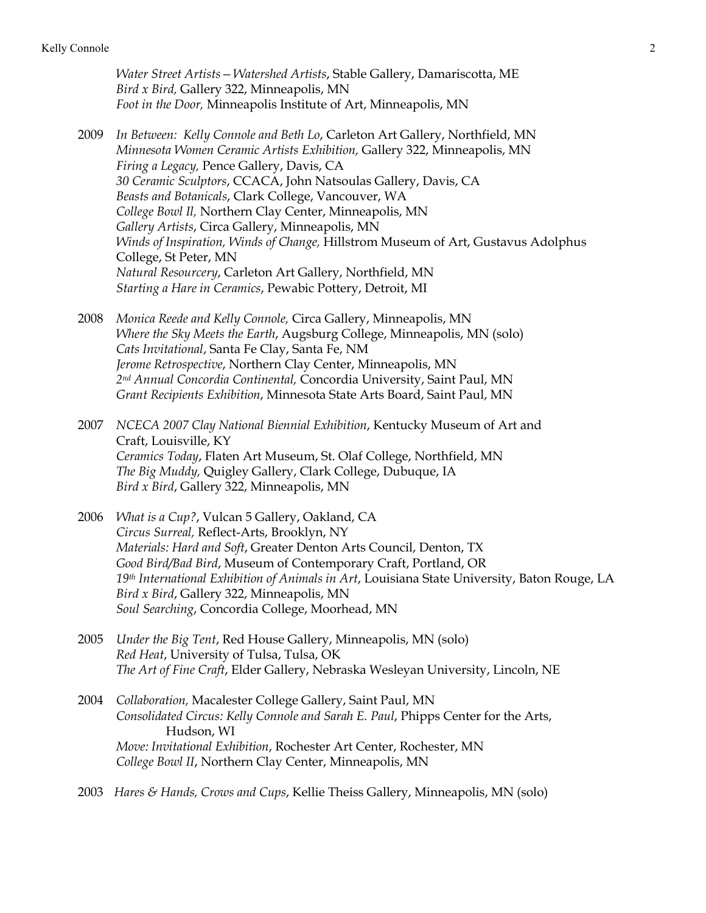*Water Street Artists—Watershed Artists*, Stable Gallery, Damariscotta, ME *Bird x Bird,* Gallery 322, Minneapolis, MN *Foot in the Door,* Minneapolis Institute of Art, Minneapolis, MN

- 2009 *In Between: Kelly Connole and Beth Lo*, Carleton Art Gallery, Northfield, MN *Minnesota Women Ceramic Artists Exhibition,* Gallery 322, Minneapolis, MN *Firing a Legacy,* Pence Gallery, Davis, CA *30 Ceramic Sculptors*, CCACA, John Natsoulas Gallery, Davis, CA *Beasts and Botanicals*, Clark College, Vancouver, WA *College Bowl Il,* Northern Clay Center, Minneapolis, MN *Gallery Artists*, Circa Gallery, Minneapolis, MN *Winds of Inspiration, Winds of Change,* Hillstrom Museum of Art, Gustavus Adolphus College, St Peter, MN *Natural Resourcery*, Carleton Art Gallery, Northfield, MN *Starting a Hare in Ceramics*, Pewabic Pottery, Detroit, MI
- 2008 *Monica Reede and Kelly Connole,* Circa Gallery, Minneapolis, MN *Where the Sky Meets the Earth*, Augsburg College, Minneapolis, MN (solo) *Cats Invitational*, Santa Fe Clay, Santa Fe, NM *Jerome Retrospective*, Northern Clay Center, Minneapolis, MN *2nd Annual Concordia Continental,* Concordia University, Saint Paul, MN *Grant Recipients Exhibition*, Minnesota State Arts Board, Saint Paul, MN
- 2007 *NCECA 2007 Clay National Biennial Exhibition*, Kentucky Museum of Art and Craft, Louisville, KY *Ceramics Today*, Flaten Art Museum, St. Olaf College, Northfield, MN *The Big Muddy,* Quigley Gallery, Clark College, Dubuque, IA *Bird x Bird*, Gallery 322, Minneapolis, MN
- 2006 *What is a Cup?*, Vulcan 5 Gallery, Oakland, CA *Circus Surreal,* Reflect-Arts, Brooklyn, NY *Materials: Hard and Soft*, Greater Denton Arts Council, Denton, TX *Good Bird/Bad Bird*, Museum of Contemporary Craft, Portland, OR *19th International Exhibition of Animals in Art*, Louisiana State University, Baton Rouge, LA *Bird x Bird*, Gallery 322, Minneapolis, MN *Soul Searching*, Concordia College, Moorhead, MN
- 2005 *Under the Big Tent*, Red House Gallery, Minneapolis, MN (solo) *Red Heat*, University of Tulsa, Tulsa, OK *The Art of Fine Craft*, Elder Gallery, Nebraska Wesleyan University, Lincoln, NE
- 2004 *Collaboration,* Macalester College Gallery, Saint Paul, MN *Consolidated Circus: Kelly Connole and Sarah E. Paul*, Phipps Center for the Arts, Hudson, WI *Move: Invitational Exhibition*, Rochester Art Center, Rochester, MN *College Bowl II*, Northern Clay Center, Minneapolis, MN
- 2003 *Hares & Hands, Crows and Cups*, Kellie Theiss Gallery, Minneapolis, MN (solo)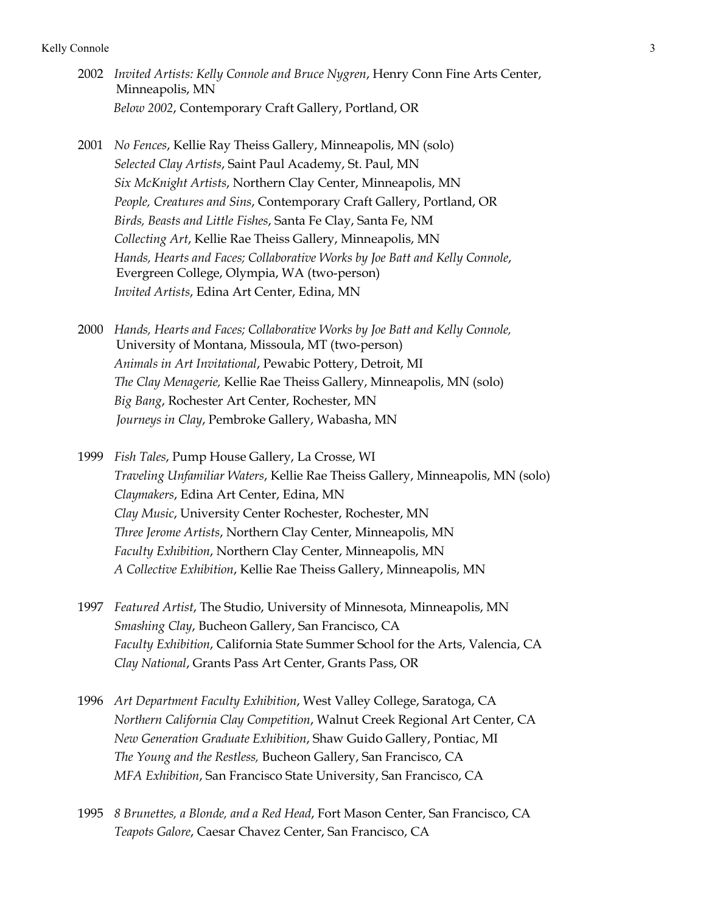- 2002 *Invited Artists: Kelly Connole and Bruce Nygren*, Henry Conn Fine Arts Center, Minneapolis, MN *Below 2002*, Contemporary Craft Gallery, Portland, OR
- 2001 *No Fences*, Kellie Ray Theiss Gallery, Minneapolis, MN (solo) *Selected Clay Artists*, Saint Paul Academy, St. Paul, MN *Six McKnight Artists*, Northern Clay Center, Minneapolis, MN *People, Creatures and Sins*, Contemporary Craft Gallery, Portland, OR *Birds, Beasts and Little Fishes*, Santa Fe Clay, Santa Fe, NM *Collecting Art*, Kellie Rae Theiss Gallery, Minneapolis, MN *Hands, Hearts and Faces; Collaborative Works by Joe Batt and Kelly Connole*, Evergreen College, Olympia, WA (two-person) *Invited Artists*, Edina Art Center, Edina, MN
- 2000 *Hands, Hearts and Faces; Collaborative Works by Joe Batt and Kelly Connole,* University of Montana, Missoula, MT (two-person) *Animals in Art Invitational*, Pewabic Pottery, Detroit, MI *The Clay Menagerie,* Kellie Rae Theiss Gallery, Minneapolis, MN (solo) *Big Bang*, Rochester Art Center, Rochester, MN *Journeys in Clay*, Pembroke Gallery, Wabasha, MN
- 1999 *Fish Tales*, Pump House Gallery, La Crosse, WI *Traveling Unfamiliar Waters*, Kellie Rae Theiss Gallery, Minneapolis, MN (solo) *Claymakers*, Edina Art Center, Edina, MN *Clay Music*, University Center Rochester, Rochester, MN *Three Jerome Artists*, Northern Clay Center, Minneapolis, MN *Faculty Exhibition*, Northern Clay Center, Minneapolis, MN *A Collective Exhibition*, Kellie Rae Theiss Gallery, Minneapolis, MN
- 1997 *Featured Artist*, The Studio, University of Minnesota, Minneapolis, MN *Smashing Clay*, Bucheon Gallery, San Francisco, CA *Faculty Exhibition*, California State Summer School for the Arts, Valencia, CA *Clay National*, Grants Pass Art Center, Grants Pass, OR
- 1996 *Art Department Faculty Exhibition*, West Valley College, Saratoga, CA *Northern California Clay Competition*, Walnut Creek Regional Art Center, CA *New Generation Graduate Exhibition*, Shaw Guido Gallery, Pontiac, MI *The Young and the Restless,* Bucheon Gallery, San Francisco, CA *MFA Exhibition*, San Francisco State University, San Francisco, CA
- 1995 *8 Brunettes, a Blonde, and a Red Head*, Fort Mason Center, San Francisco, CA *Teapots Galore*, Caesar Chavez Center, San Francisco, CA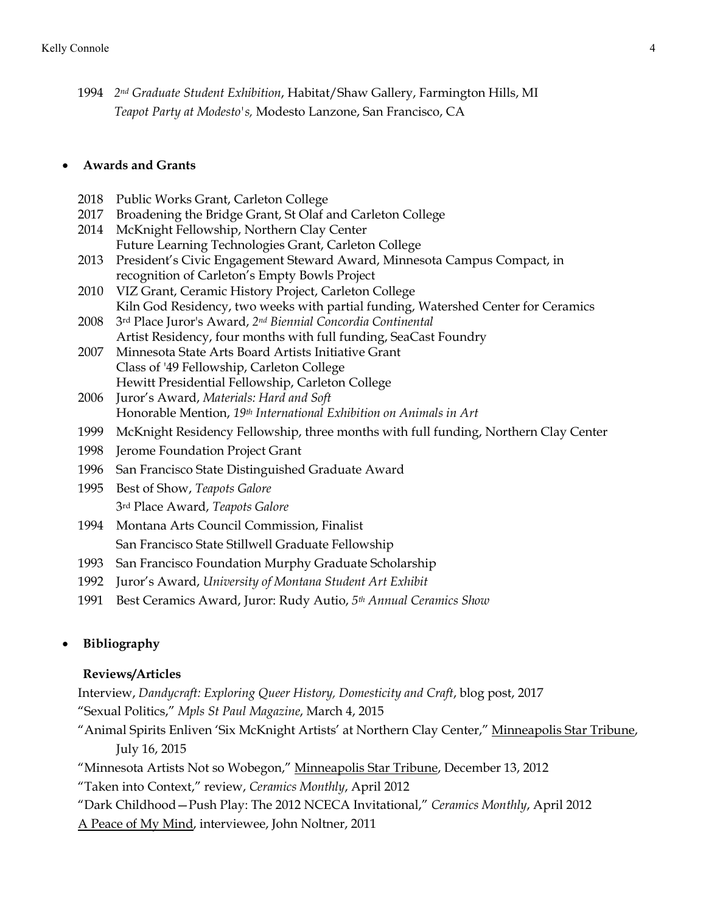1994 *2nd Graduate Student Exhibition*, Habitat/Shaw Gallery, Farmington Hills, MI *Teapot Party at Modesto's,* Modesto Lanzone, San Francisco, CA

## • **Awards and Grants**

- 2018 Public Works Grant, Carleton College
- 2017 Broadening the Bridge Grant, St Olaf and Carleton College
- 2014 McKnight Fellowship, Northern Clay Center Future Learning Technologies Grant, Carleton College
- 2013 President's Civic Engagement Steward Award, Minnesota Campus Compact, in recognition of Carleton's Empty Bowls Project
- 2010 VIZ Grant, Ceramic History Project, Carleton College Kiln God Residency, two weeks with partial funding, Watershed Center for Ceramics
- 2008 3rd Place Juror's Award, *2nd Biennial Concordia Continental* Artist Residency, four months with full funding, SeaCast Foundry
- 2007 Minnesota State Arts Board Artists Initiative Grant Class of '49 Fellowship, Carleton College Hewitt Presidential Fellowship, Carleton College
- 2006 Juror's Award, *Materials: Hard and Soft* Honorable Mention, *19th International Exhibition on Animals in Art*
- 1999 McKnight Residency Fellowship, three months with full funding, Northern Clay Center
- 1998 Jerome Foundation Project Grant
- 1996 San Francisco State Distinguished Graduate Award
- 1995 Best of Show, *Teapots Galore* 3rd Place Award, *Teapots Galore*
- 1994 Montana Arts Council Commission, Finalist San Francisco State Stillwell Graduate Fellowship
- 1993 San Francisco Foundation Murphy Graduate Scholarship
- 1992 Juror's Award, *University of Montana Student Art Exhibit*
- 1991 Best Ceramics Award, Juror: Rudy Autio, *5th Annual Ceramics Show*

# • **Bibliography**

## **Reviews/Articles**

Interview, *Dandycraft: Exploring Queer History, Domesticity and Craft*, blog post, 2017 "Sexual Politics," *Mpls St Paul Magazine*, March 4, 2015

- "Animal Spirits Enliven 'Six McKnight Artists' at Northern Clay Center," Minneapolis Star Tribune, July 16, 2015
- "Minnesota Artists Not so Wobegon," Minneapolis Star Tribune, December 13, 2012

"Taken into Context," review, *Ceramics Monthly*, April 2012

"Dark Childhood—Push Play: The 2012 NCECA Invitational," *Ceramics Monthly*, April 2012

A Peace of My Mind, interviewee, John Noltner, 2011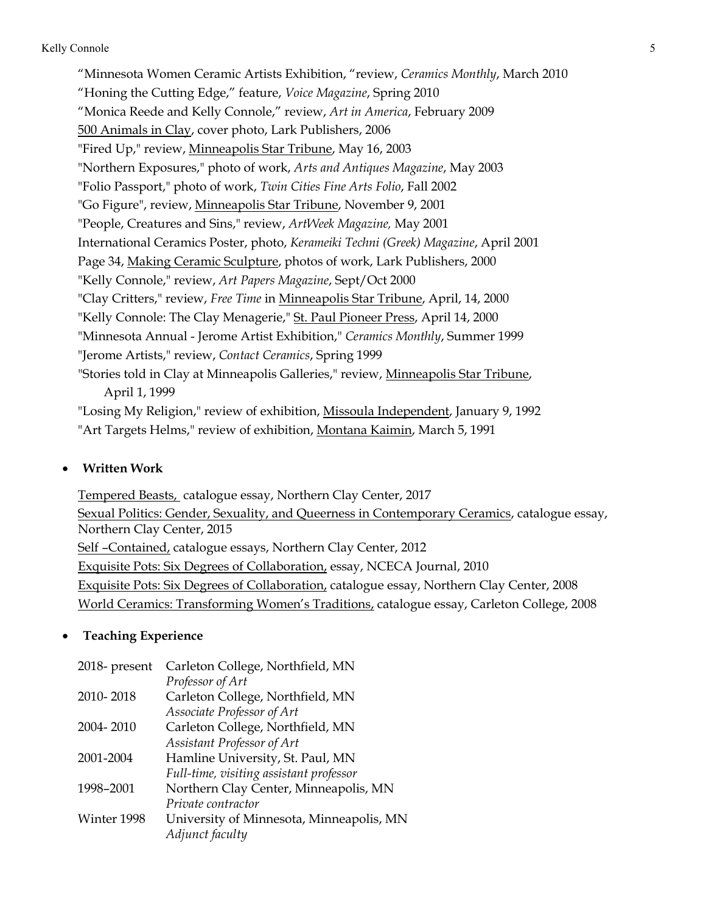"Minnesota Women Ceramic Artists Exhibition, "review, *Ceramics Monthly*, March 2010 "Honing the Cutting Edge," feature, *Voice Magazine*, Spring 2010 "Monica Reede and Kelly Connole," review, *Art in America*, February 2009 500 Animals in Clay, cover photo, Lark Publishers, 2006 "Fired Up," review, Minneapolis Star Tribune, May 16, 2003 "Northern Exposures," photo of work, *Arts and Antiques Magazine*, May 2003 "Folio Passport," photo of work, *Twin Cities Fine Arts Folio*, Fall 2002 "Go Figure", review, Minneapolis Star Tribune, November 9, 2001 "People, Creatures and Sins," review, *ArtWeek Magazine,* May 2001 International Ceramics Poster, photo, *Kerameiki Techni (Greek) Magazine*, April 2001 Page 34, Making Ceramic Sculpture, photos of work, Lark Publishers, 2000 "Kelly Connole," review, *Art Papers Magazine*, Sept/Oct 2000 "Clay Critters," review, *Free Time* in Minneapolis Star Tribune, April, 14, 2000 "Kelly Connole: The Clay Menagerie," St. Paul Pioneer Press, April 14, 2000 "Minnesota Annual - Jerome Artist Exhibition," *Ceramics Monthly*, Summer 1999 "Jerome Artists," review, *Contact Ceramics*, Spring 1999 "Stories told in Clay at Minneapolis Galleries," review, Minneapolis Star Tribune, April 1, 1999 "Losing My Religion," review of exhibition, Missoula Independent, January 9, 1992 "Art Targets Helms," review of exhibition, Montana Kaimin, March 5, 1991

#### • **Written Work**

Tempered Beasts, catalogue essay, Northern Clay Center, 2017 Sexual Politics: Gender, Sexuality, and Queerness in Contemporary Ceramics, catalogue essay, Northern Clay Center, 2015 Self –Contained, catalogue essays, Northern Clay Center, 2012 Exquisite Pots: Six Degrees of Collaboration, essay, NCECA Journal, 2010 Exquisite Pots: Six Degrees of Collaboration, catalogue essay, Northern Clay Center, 2008 World Ceramics: Transforming Women's Traditions, catalogue essay, Carleton College, 2008

#### • **Teaching Experience**

| $2018$ - present | Carleton College, Northfield, MN         |
|------------------|------------------------------------------|
|                  | Professor of Art                         |
| 2010-2018        | Carleton College, Northfield, MN         |
|                  | Associate Professor of Art               |
| 2004-2010        | Carleton College, Northfield, MN         |
|                  | Assistant Professor of Art               |
| 2001-2004        | Hamline University, St. Paul, MN         |
|                  | Full-time, visiting assistant professor  |
| 1998-2001        | Northern Clay Center, Minneapolis, MN    |
|                  | Private contractor                       |
| Winter 1998      | University of Minnesota, Minneapolis, MN |
|                  | Adjunct faculty                          |